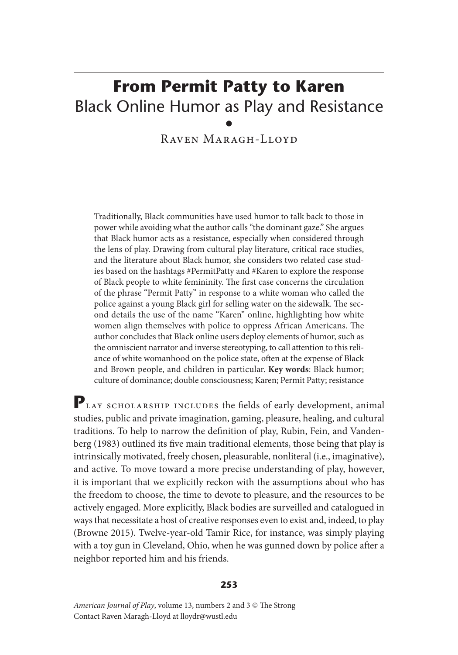# **From Permit Patty to Karen** Black Online Humor as Play and Resistance •

Raven Maragh-Lloyd

Traditionally, Black communities have used humor to talk back to those in power while avoiding what the author calls "the dominant gaze." She argues that Black humor acts as a resistance, especially when considered through the lens of play. Drawing from cultural play literature, critical race studies, and the literature about Black humor, she considers two related case studies based on the hashtags #PermitPatty and #Karen to explore the response of Black people to white femininity. The first case concerns the circulation of the phrase "Permit Patty" in response to a white woman who called the police against a young Black girl for selling water on the sidewalk. The second details the use of the name "Karen" online, highlighting how white women align themselves with police to oppress African Americans. The author concludes that Black online users deploy elements of humor, such as the omniscient narrator and inverse stereotyping, to call attention to this reliance of white womanhood on the police state, often at the expense of Black and Brown people, and children in particular. **Key words**: Black humor; culture of dominance; double consciousness; Karen; Permit Patty; resistance

PLAY SCHOLARSHIP INCLUDES the fields of early development, animal studies, public and private imagination, gaming, pleasure, healing, and cultural traditions. To help to narrow the definition of play, Rubin, Fein, and Vandenberg (1983) outlined its five main traditional elements, those being that play is intrinsically motivated, freely chosen, pleasurable, nonliteral (i.e., imaginative), and active. To move toward a more precise understanding of play, however, it is important that we explicitly reckon with the assumptions about who has the freedom to choose, the time to devote to pleasure, and the resources to be actively engaged. More explicitly, Black bodies are surveilled and catalogued in ways that necessitate a host of creative responses even to exist and, indeed, to play (Browne 2015). Twelve-year-old Tamir Rice, for instance, was simply playing with a toy gun in Cleveland, Ohio, when he was gunned down by police after a neighbor reported him and his friends.

#### **253**

*American Journal of Play*, volume 13, numbers 2 and 3 © The Strong Contact Raven Maragh-Lloyd at lloydr@wustl.edu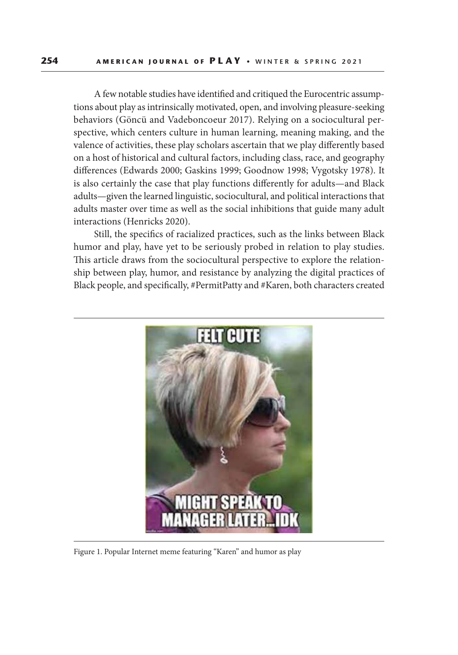A few notable studies have identified and critiqued the Eurocentric assumptions about play as intrinsically motivated, open, and involving pleasure-seeking behaviors (Göncü and Vadeboncoeur 2017). Relying on a sociocultural perspective, which centers culture in human learning, meaning making, and the valence of activities, these play scholars ascertain that we play differently based on a host of historical and cultural factors, including class, race, and geography differences (Edwards 2000; Gaskins 1999; Goodnow 1998; Vygotsky 1978). It is also certainly the case that play functions differently for adults—and Black adults—given the learned linguistic, sociocultural, and political interactions that adults master over time as well as the social inhibitions that guide many adult interactions (Henricks 2020).

Still, the specifics of racialized practices, such as the links between Black humor and play, have yet to be seriously probed in relation to play studies. This article draws from the sociocultural perspective to explore the relationship between play, humor, and resistance by analyzing the digital practices of Black people, and specifically, #PermitPatty and #Karen, both characters created



Figure 1. Popular Internet meme featuring "Karen" and humor as play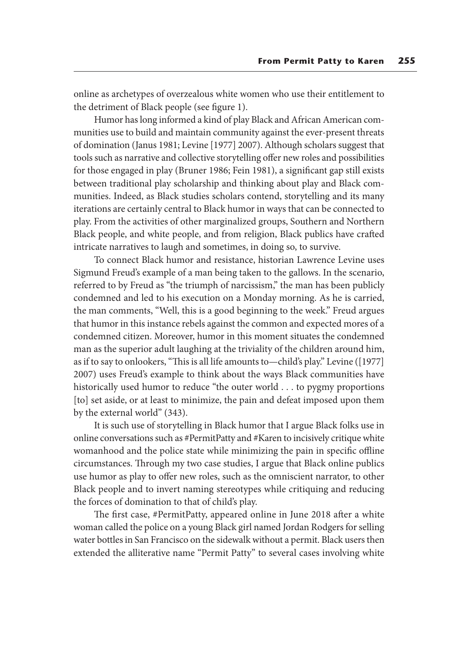online as archetypes of overzealous white women who use their entitlement to the detriment of Black people (see figure 1).

Humor has long informed a kind of play Black and African American communities use to build and maintain community against the ever-present threats of domination (Janus 1981; Levine [1977] 2007). Although scholars suggest that tools such as narrative and collective storytelling offer new roles and possibilities for those engaged in play (Bruner 1986; Fein 1981), a significant gap still exists between traditional play scholarship and thinking about play and Black communities. Indeed, as Black studies scholars contend, storytelling and its many iterations are certainly central to Black humor in ways that can be connected to play. From the activities of other marginalized groups, Southern and Northern Black people, and white people, and from religion, Black publics have crafted intricate narratives to laugh and sometimes, in doing so, to survive.

To connect Black humor and resistance, historian Lawrence Levine uses Sigmund Freud's example of a man being taken to the gallows. In the scenario, referred to by Freud as "the triumph of narcissism," the man has been publicly condemned and led to his execution on a Monday morning. As he is carried, the man comments, "Well, this is a good beginning to the week." Freud argues that humor in this instance rebels against the common and expected mores of a condemned citizen. Moreover, humor in this moment situates the condemned man as the superior adult laughing at the triviality of the children around him, as if to say to onlookers, "This is all life amounts to—child's play." Levine ([1977] 2007) uses Freud's example to think about the ways Black communities have historically used humor to reduce "the outer world . . . to pygmy proportions [to] set aside, or at least to minimize, the pain and defeat imposed upon them by the external world" (343).

It is such use of storytelling in Black humor that I argue Black folks use in online conversations such as #PermitPatty and #Karen to incisively critique white womanhood and the police state while minimizing the pain in specific offline circumstances. Through my two case studies, I argue that Black online publics use humor as play to offer new roles, such as the omniscient narrator, to other Black people and to invert naming stereotypes while critiquing and reducing the forces of domination to that of child's play.

The first case, #PermitPatty, appeared online in June 2018 after a white woman called the police on a young Black girl named Jordan Rodgers for selling water bottles in San Francisco on the sidewalk without a permit. Black users then extended the alliterative name "Permit Patty" to several cases involving white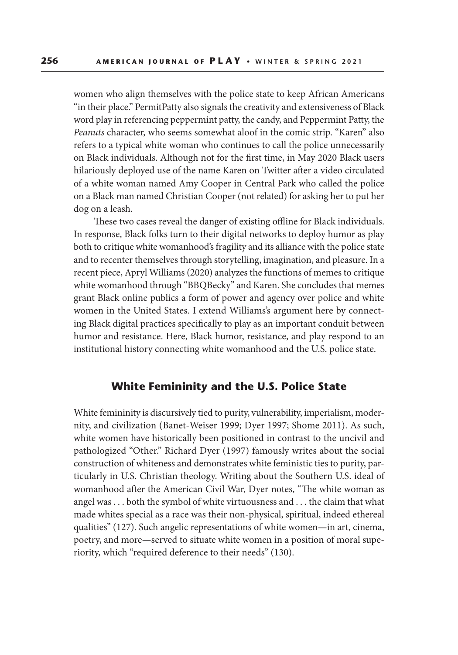women who align themselves with the police state to keep African Americans "in their place." PermitPatty also signals the creativity and extensiveness of Black word play in referencing peppermint patty, the candy, and Peppermint Patty, the *Peanuts* character, who seems somewhat aloof in the comic strip. "Karen" also refers to a typical white woman who continues to call the police unnecessarily on Black individuals. Although not for the first time, in May 2020 Black users hilariously deployed use of the name Karen on Twitter after a video circulated of a white woman named Amy Cooper in Central Park who called the police on a Black man named Christian Cooper (not related) for asking her to put her dog on a leash.

These two cases reveal the danger of existing offline for Black individuals. In response, Black folks turn to their digital networks to deploy humor as play both to critique white womanhood's fragility and its alliance with the police state and to recenter themselves through storytelling, imagination, and pleasure. In a recent piece, Apryl Williams (2020) analyzes the functions of memes to critique white womanhood through "BBQBecky" and Karen. She concludes that memes grant Black online publics a form of power and agency over police and white women in the United States. I extend Williams's argument here by connecting Black digital practices specifically to play as an important conduit between humor and resistance. Here, Black humor, resistance, and play respond to an institutional history connecting white womanhood and the U.S. police state.

## **White Femininity and the U.S. Police State**

White femininity is discursively tied to purity, vulnerability, imperialism, modernity, and civilization (Banet-Weiser 1999; Dyer 1997; Shome 2011). As such, white women have historically been positioned in contrast to the uncivil and pathologized "Other." Richard Dyer (1997) famously writes about the social construction of whiteness and demonstrates white feministic ties to purity, particularly in U.S. Christian theology. Writing about the Southern U.S. ideal of womanhood after the American Civil War, Dyer notes, "The white woman as angel was . . . both the symbol of white virtuousness and . . . the claim that what made whites special as a race was their non-physical, spiritual, indeed ethereal qualities" (127). Such angelic representations of white women—in art, cinema, poetry, and more—served to situate white women in a position of moral superiority, which "required deference to their needs" (130).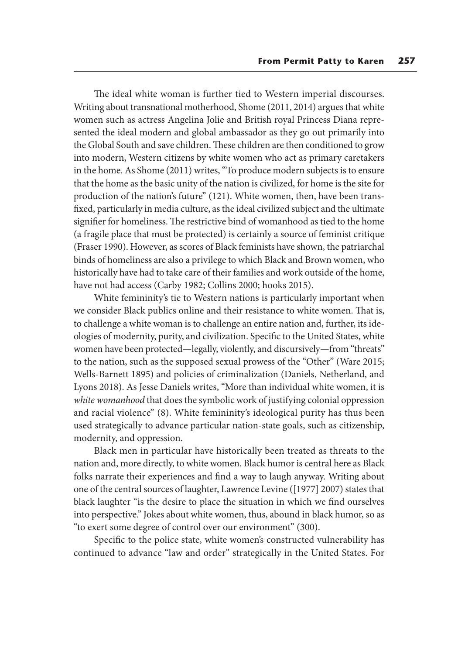The ideal white woman is further tied to Western imperial discourses. Writing about transnational motherhood, Shome (2011, 2014) argues that white women such as actress Angelina Jolie and British royal Princess Diana represented the ideal modern and global ambassador as they go out primarily into the Global South and save children. These children are then conditioned to grow into modern, Western citizens by white women who act as primary caretakers in the home. As Shome (2011) writes, "To produce modern subjects is to ensure that the home as the basic unity of the nation is civilized, for home is the site for production of the nation's future" (121). White women, then, have been transfixed, particularly in media culture, as the ideal civilized subject and the ultimate signifier for homeliness. The restrictive bind of womanhood as tied to the home (a fragile place that must be protected) is certainly a source of feminist critique (Fraser 1990). However, as scores of Black feminists have shown, the patriarchal binds of homeliness are also a privilege to which Black and Brown women, who historically have had to take care of their families and work outside of the home, have not had access (Carby 1982; Collins 2000; hooks 2015).

White femininity's tie to Western nations is particularly important when we consider Black publics online and their resistance to white women. That is, to challenge a white woman is to challenge an entire nation and, further, its ideologies of modernity, purity, and civilization. Specific to the United States, white women have been protected—legally, violently, and discursively—from "threats" to the nation, such as the supposed sexual prowess of the "Other" (Ware 2015; Wells-Barnett 1895) and policies of criminalization (Daniels, Netherland, and Lyons 2018). As Jesse Daniels writes, "More than individual white women, it is *white womanhood* that does the symbolic work of justifying colonial oppression and racial violence" (8). White femininity's ideological purity has thus been used strategically to advance particular nation-state goals, such as citizenship, modernity, and oppression.

Black men in particular have historically been treated as threats to the nation and, more directly, to white women. Black humor is central here as Black folks narrate their experiences and find a way to laugh anyway. Writing about one of the central sources of laughter, Lawrence Levine ([1977] 2007) states that black laughter "is the desire to place the situation in which we find ourselves into perspective." Jokes about white women, thus, abound in black humor, so as "to exert some degree of control over our environment" (300).

Specific to the police state, white women's constructed vulnerability has continued to advance "law and order" strategically in the United States. For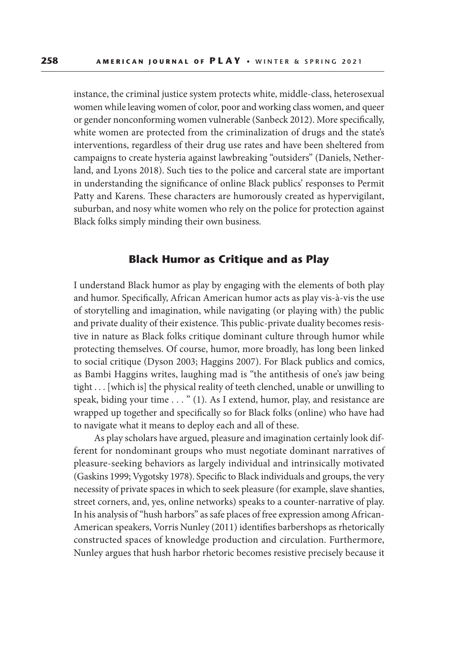instance, the criminal justice system protects white, middle-class, heterosexual women while leaving women of color, poor and working class women, and queer or gender nonconforming women vulnerable (Sanbeck 2012). More specifically, white women are protected from the criminalization of drugs and the state's interventions, regardless of their drug use rates and have been sheltered from campaigns to create hysteria against lawbreaking "outsiders" (Daniels, Netherland, and Lyons 2018). Such ties to the police and carceral state are important in understanding the significance of online Black publics' responses to Permit Patty and Karens. These characters are humorously created as hypervigilant, suburban, and nosy white women who rely on the police for protection against Black folks simply minding their own business.

## **Black Humor as Critique and as Play**

I understand Black humor as play by engaging with the elements of both play and humor. Specifically, African American humor acts as play vis-à-vis the use of storytelling and imagination, while navigating (or playing with) the public and private duality of their existence. This public-private duality becomes resistive in nature as Black folks critique dominant culture through humor while protecting themselves. Of course, humor, more broadly, has long been linked to social critique (Dyson 2003; Haggins 2007). For Black publics and comics, as Bambi Haggins writes, laughing mad is "the antithesis of one's jaw being tight . . . [which is] the physical reality of teeth clenched, unable or unwilling to speak, biding your time . . . " (1). As I extend, humor, play, and resistance are wrapped up together and specifically so for Black folks (online) who have had to navigate what it means to deploy each and all of these.

As play scholars have argued, pleasure and imagination certainly look different for nondominant groups who must negotiate dominant narratives of pleasure-seeking behaviors as largely individual and intrinsically motivated (Gaskins 1999; Vygotsky 1978). Specific to Black individuals and groups, the very necessity of private spaces in which to seek pleasure (for example, slave shanties, street corners, and, yes, online networks) speaks to a counter-narrative of play. In his analysis of "hush harbors" as safe places of free expression among African-American speakers, Vorris Nunley (2011) identifies barbershops as rhetorically constructed spaces of knowledge production and circulation. Furthermore, Nunley argues that hush harbor rhetoric becomes resistive precisely because it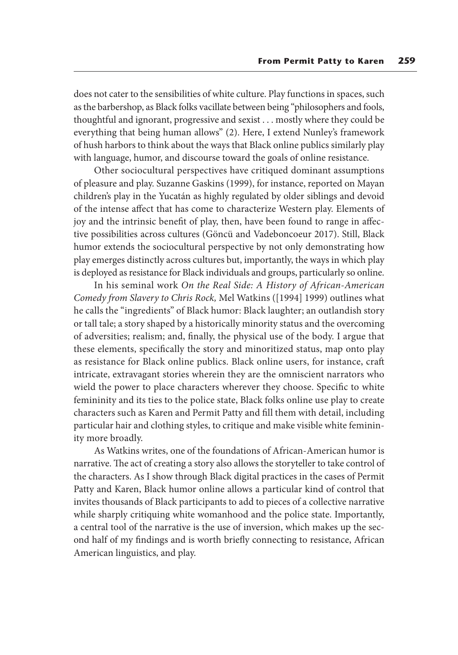does not cater to the sensibilities of white culture. Play functions in spaces, such as the barbershop, as Black folks vacillate between being "philosophers and fools, thoughtful and ignorant, progressive and sexist . . . mostly where they could be everything that being human allows" (2). Here, I extend Nunley's framework of hush harbors to think about the ways that Black online publics similarly play with language, humor, and discourse toward the goals of online resistance.

Other sociocultural perspectives have critiqued dominant assumptions of pleasure and play. Suzanne Gaskins (1999), for instance, reported on Mayan children's play in the Yucatán as highly regulated by older siblings and devoid of the intense affect that has come to characterize Western play. Elements of joy and the intrinsic benefit of play, then, have been found to range in affective possibilities across cultures (Göncü and Vadeboncoeur 2017). Still, Black humor extends the sociocultural perspective by not only demonstrating how play emerges distinctly across cultures but, importantly, the ways in which play is deployed as resistance for Black individuals and groups, particularly so online.

In his seminal work *On the Real Side: A History of African-American Comedy from Slavery to Chris Rock,* Mel Watkins ([1994] 1999) outlines what he calls the "ingredients" of Black humor: Black laughter; an outlandish story or tall tale; a story shaped by a historically minority status and the overcoming of adversities; realism; and, finally, the physical use of the body. I argue that these elements, specifically the story and minoritized status, map onto play as resistance for Black online publics. Black online users, for instance, craft intricate, extravagant stories wherein they are the omniscient narrators who wield the power to place characters wherever they choose. Specific to white femininity and its ties to the police state, Black folks online use play to create characters such as Karen and Permit Patty and fill them with detail, including particular hair and clothing styles, to critique and make visible white femininity more broadly.

As Watkins writes, one of the foundations of African-American humor is narrative. The act of creating a story also allows the storyteller to take control of the characters. As I show through Black digital practices in the cases of Permit Patty and Karen, Black humor online allows a particular kind of control that invites thousands of Black participants to add to pieces of a collective narrative while sharply critiquing white womanhood and the police state. Importantly, a central tool of the narrative is the use of inversion, which makes up the second half of my findings and is worth briefly connecting to resistance, African American linguistics, and play.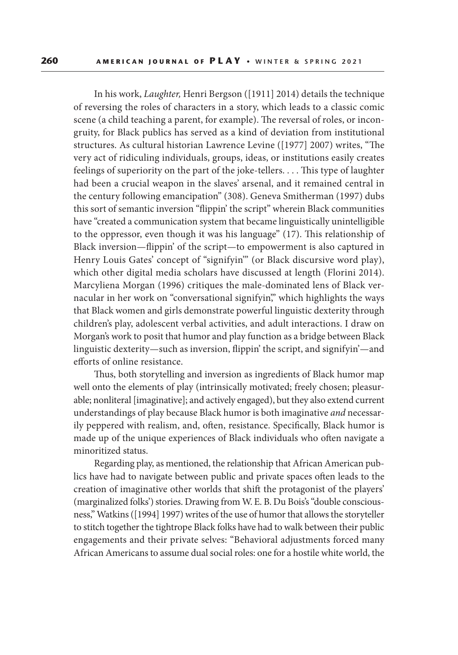In his work, *Laughter,* Henri Bergson ([1911] 2014) details the technique of reversing the roles of characters in a story, which leads to a classic comic scene (a child teaching a parent, for example). The reversal of roles, or incongruity, for Black publics has served as a kind of deviation from institutional structures. As cultural historian Lawrence Levine ([1977] 2007) writes, "The very act of ridiculing individuals, groups, ideas, or institutions easily creates feelings of superiority on the part of the joke-tellers. . . . This type of laughter had been a crucial weapon in the slaves' arsenal, and it remained central in the century following emancipation" (308). Geneva Smitherman (1997) dubs this sort of semantic inversion "flippin' the script" wherein Black communities have "created a communication system that became linguistically unintelligible to the oppressor, even though it was his language" (17). This relationship of Black inversion—flippin' of the script—to empowerment is also captured in Henry Louis Gates' concept of "signifyin'" (or Black discursive word play), which other digital media scholars have discussed at length (Florini 2014). Marcyliena Morgan (1996) critiques the male-dominated lens of Black vernacular in her work on "conversational signifyin," which highlights the ways that Black women and girls demonstrate powerful linguistic dexterity through children's play, adolescent verbal activities, and adult interactions. I draw on Morgan's work to posit that humor and play function as a bridge between Black linguistic dexterity—such as inversion, flippin' the script, and signifyin'—and efforts of online resistance.

Thus, both storytelling and inversion as ingredients of Black humor map well onto the elements of play (intrinsically motivated; freely chosen; pleasurable; nonliteral [imaginative]; and actively engaged), but they also extend current understandings of play because Black humor is both imaginative *and* necessarily peppered with realism, and, often, resistance. Specifically, Black humor is made up of the unique experiences of Black individuals who often navigate a minoritized status.

Regarding play, as mentioned, the relationship that African American publics have had to navigate between public and private spaces often leads to the creation of imaginative other worlds that shift the protagonist of the players' (marginalized folks') stories. Drawing from W. E. B. Du Bois's "double consciousness," Watkins ([1994] 1997) writes of the use of humor that allows the storyteller to stitch together the tightrope Black folks have had to walk between their public engagements and their private selves: "Behavioral adjustments forced many African Americans to assume dual social roles: one for a hostile white world, the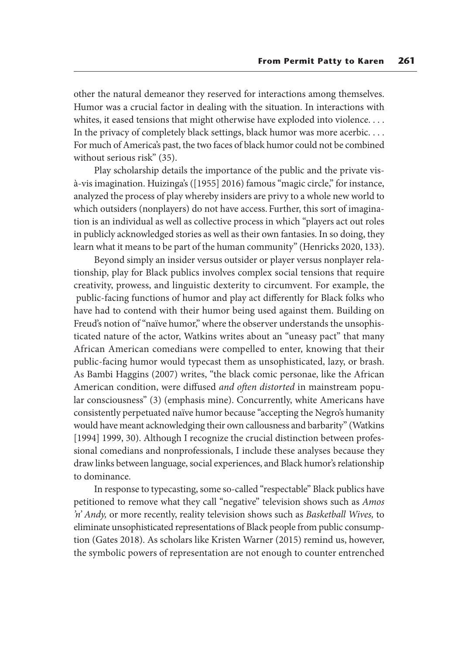other the natural demeanor they reserved for interactions among themselves. Humor was a crucial factor in dealing with the situation. In interactions with whites, it eased tensions that might otherwise have exploded into violence. . . . In the privacy of completely black settings, black humor was more acerbic. . . . For much of America's past, the two faces of black humor could not be combined without serious risk" (35).

Play scholarship details the importance of the public and the private visà-vis imagination. Huizinga's ([1955] 2016) famous "magic circle," for instance, analyzed the process of play whereby insiders are privy to a whole new world to which outsiders (nonplayers) do not have access. Further, this sort of imagination is an individual as well as collective process in which "players act out roles in publicly acknowledged stories as well as their own fantasies. In so doing, they learn what it means to be part of the human community" (Henricks 2020, 133).

Beyond simply an insider versus outsider or player versus nonplayer relationship, play for Black publics involves complex social tensions that require creativity, prowess, and linguistic dexterity to circumvent. For example, the public-facing functions of humor and play act differently for Black folks who have had to contend with their humor being used against them. Building on Freud's notion of "naïve humor," where the observer understands the unsophisticated nature of the actor, Watkins writes about an "uneasy pact" that many African American comedians were compelled to enter, knowing that their public-facing humor would typecast them as unsophisticated, lazy, or brash. As Bambi Haggins (2007) writes, "the black comic personae, like the African American condition, were diffused *and often distorted* in mainstream popular consciousness" (3) (emphasis mine). Concurrently, white Americans have consistently perpetuated naïve humor because "accepting the Negro's humanity would have meant acknowledging their own callousness and barbarity" (Watkins [1994] 1999, 30). Although I recognize the crucial distinction between professional comedians and nonprofessionals, I include these analyses because they draw links between language, social experiences, and Black humor's relationship to dominance.

In response to typecasting, some so-called "respectable" Black publics have petitioned to remove what they call "negative" television shows such as *Amos 'n' Andy,* or more recently, reality television shows such as *Basketball Wives,* to eliminate unsophisticated representations of Black people from public consumption (Gates 2018). As scholars like Kristen Warner (2015) remind us, however, the symbolic powers of representation are not enough to counter entrenched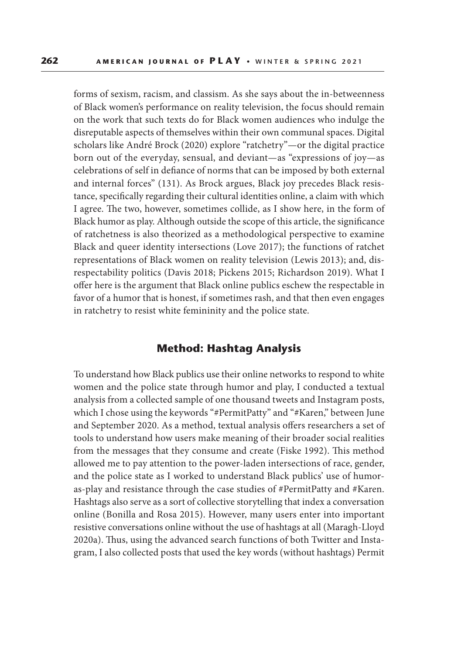forms of sexism, racism, and classism. As she says about the in-betweenness of Black women's performance on reality television, the focus should remain on the work that such texts do for Black women audiences who indulge the disreputable aspects of themselves within their own communal spaces. Digital scholars like André Brock (2020) explore "ratchetry"—or the digital practice born out of the everyday, sensual, and deviant—as "expressions of joy—as celebrations of self in defiance of norms that can be imposed by both external and internal forces" (131). As Brock argues, Black joy precedes Black resistance, specifically regarding their cultural identities online, a claim with which I agree. The two, however, sometimes collide, as I show here, in the form of Black humor as play. Although outside the scope of this article, the significance of ratchetness is also theorized as a methodological perspective to examine Black and queer identity intersections (Love 2017); the functions of ratchet representations of Black women on reality television (Lewis 2013); and, disrespectability politics (Davis 2018; Pickens 2015; Richardson 2019). What I offer here is the argument that Black online publics eschew the respectable in favor of a humor that is honest, if sometimes rash, and that then even engages in ratchetry to resist white femininity and the police state.

### **Method: Hashtag Analysis**

To understand how Black publics use their online networks to respond to white women and the police state through humor and play, I conducted a textual analysis from a collected sample of one thousand tweets and Instagram posts, which I chose using the keywords "#PermitPatty" and "#Karen," between June and September 2020. As a method, textual analysis offers researchers a set of tools to understand how users make meaning of their broader social realities from the messages that they consume and create (Fiske 1992). This method allowed me to pay attention to the power-laden intersections of race, gender, and the police state as I worked to understand Black publics' use of humoras-play and resistance through the case studies of #PermitPatty and #Karen. Hashtags also serve as a sort of collective storytelling that index a conversation online (Bonilla and Rosa 2015). However, many users enter into important resistive conversations online without the use of hashtags at all (Maragh-Lloyd 2020a). Thus, using the advanced search functions of both Twitter and Instagram, I also collected posts that used the key words (without hashtags) Permit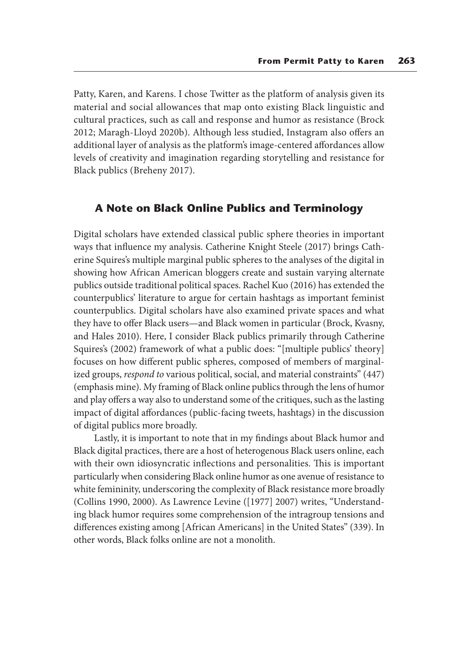Patty, Karen, and Karens. I chose Twitter as the platform of analysis given its material and social allowances that map onto existing Black linguistic and cultural practices, such as call and response and humor as resistance (Brock 2012; Maragh-Lloyd 2020b). Although less studied, Instagram also offers an additional layer of analysis as the platform's image-centered affordances allow levels of creativity and imagination regarding storytelling and resistance for Black publics (Breheny 2017).

## **A Note on Black Online Publics and Terminology**

Digital scholars have extended classical public sphere theories in important ways that influence my analysis. Catherine Knight Steele (2017) brings Catherine Squires's multiple marginal public spheres to the analyses of the digital in showing how African American bloggers create and sustain varying alternate publics outside traditional political spaces. Rachel Kuo (2016) has extended the counterpublics' literature to argue for certain hashtags as important feminist counterpublics. Digital scholars have also examined private spaces and what they have to offer Black users—and Black women in particular (Brock, Kvasny, and Hales 2010). Here, I consider Black publics primarily through Catherine Squires's (2002) framework of what a public does: "[multiple publics' theory] focuses on how different public spheres, composed of members of marginalized groups, *respond to* various political, social, and material constraints" (447) (emphasis mine). My framing of Black online publics through the lens of humor and play offers a way also to understand some of the critiques, such as the lasting impact of digital affordances (public-facing tweets, hashtags) in the discussion of digital publics more broadly.

Lastly, it is important to note that in my findings about Black humor and Black digital practices, there are a host of heterogenous Black users online, each with their own idiosyncratic inflections and personalities. This is important particularly when considering Black online humor as one avenue of resistance to white femininity, underscoring the complexity of Black resistance more broadly (Collins 1990, 2000). As Lawrence Levine ([1977] 2007) writes, "Understanding black humor requires some comprehension of the intragroup tensions and differences existing among [African Americans] in the United States" (339). In other words, Black folks online are not a monolith.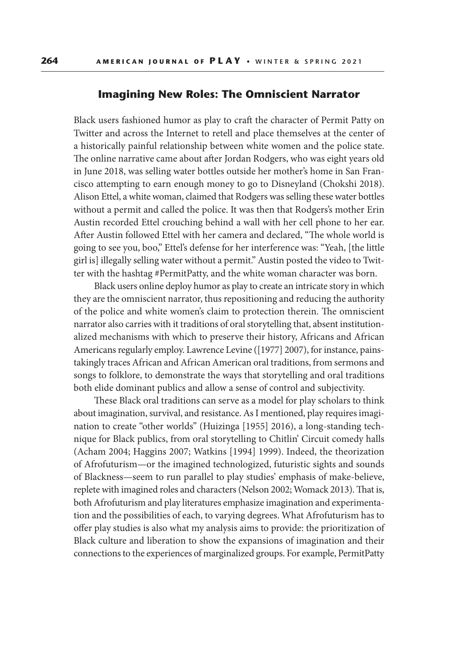#### **Imagining New Roles: The Omniscient Narrator**

Black users fashioned humor as play to craft the character of Permit Patty on Twitter and across the Internet to retell and place themselves at the center of a historically painful relationship between white women and the police state. The online narrative came about after Jordan Rodgers, who was eight years old in June 2018, was selling water bottles outside her mother's home in San Francisco attempting to earn enough money to go to Disneyland (Chokshi 2018). Alison Ettel, a white woman, claimed that Rodgers was selling these water bottles without a permit and called the police. It was then that Rodgers's mother Erin Austin recorded Ettel crouching behind a wall with her cell phone to her ear. After Austin followed Ettel with her camera and declared, "The whole world is going to see you, boo," Ettel's defense for her interference was: "Yeah, [the little girl is] illegally selling water without a permit." Austin posted the video to Twitter with the hashtag #PermitPatty, and the white woman character was born.

Black users online deploy humor as play to create an intricate story in which they are the omniscient narrator, thus repositioning and reducing the authority of the police and white women's claim to protection therein. The omniscient narrator also carries with it traditions of oral storytelling that, absent institutionalized mechanisms with which to preserve their history, Africans and African Americans regularly employ. Lawrence Levine ([1977] 2007), for instance, painstakingly traces African and African American oral traditions, from sermons and songs to folklore, to demonstrate the ways that storytelling and oral traditions both elide dominant publics and allow a sense of control and subjectivity.

These Black oral traditions can serve as a model for play scholars to think about imagination, survival, and resistance. As I mentioned, play requires imagination to create "other worlds" (Huizinga [1955] 2016), a long-standing technique for Black publics, from oral storytelling to Chitlin' Circuit comedy halls (Acham 2004; Haggins 2007; Watkins [1994] 1999). Indeed, the theorization of Afrofuturism—or the imagined technologized, futuristic sights and sounds of Blackness—seem to run parallel to play studies' emphasis of make-believe, replete with imagined roles and characters (Nelson 2002; Womack 2013). That is, both Afrofuturism and play literatures emphasize imagination and experimentation and the possibilities of each, to varying degrees. What Afrofuturism has to offer play studies is also what my analysis aims to provide: the prioritization of Black culture and liberation to show the expansions of imagination and their connections to the experiences of marginalized groups. For example, PermitPatty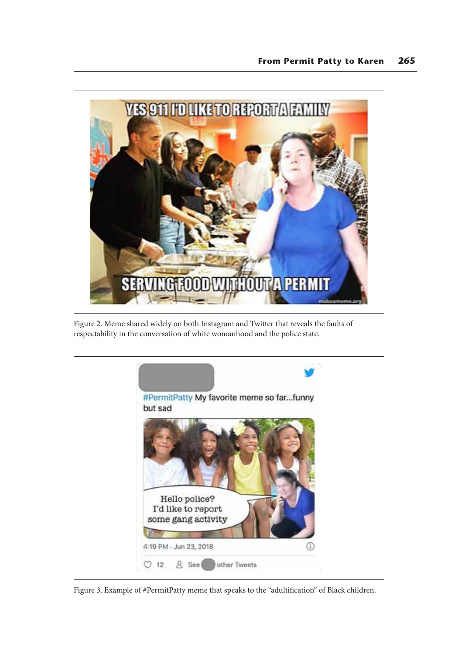

Figure 2. Meme shared widely on both Instagram and Twitter that reveals the faults of respectability in the conversation of white womanhood and the police state.



Figure 3. Example of #PermitPatty meme that speaks to the "adultification" of Black children.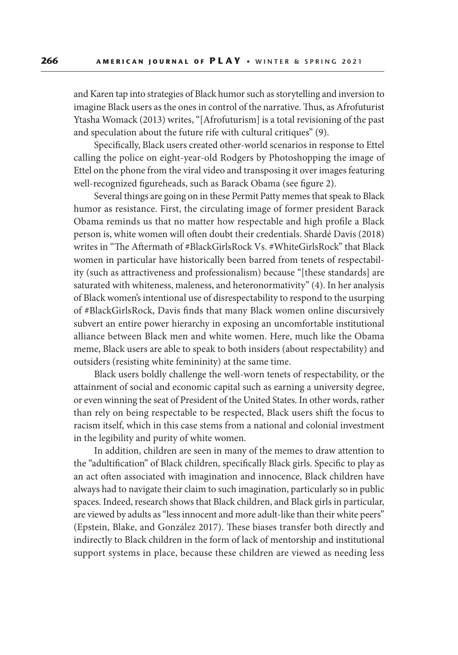and Karen tap into strategies of Black humor such as storytelling and inversion to imagine Black users as the ones in control of the narrative. Thus, as Afrofuturist Ytasha Womack (2013) writes, "[Afrofuturism] is a total revisioning of the past and speculation about the future rife with cultural critiques" (9).

Specifically, Black users created other-world scenarios in response to Ettel calling the police on eight-year-old Rodgers by Photoshopping the image of Ettel on the phone from the viral video and transposing it over images featuring well-recognized figureheads, such as Barack Obama (see figure 2).

Several things are going on in these Permit Patty memes that speak to Black humor as resistance. First, the circulating image of former president Barack Obama reminds us that no matter how respectable and high profile a Black person is, white women will often doubt their credentials. Shardé Davis (2018) writes in "The Aftermath of #BlackGirlsRock Vs. #WhiteGirlsRock" that Black women in particular have historically been barred from tenets of respectability (such as attractiveness and professionalism) because "[these standards] are saturated with whiteness, maleness, and heteronormativity" (4). In her analysis of Black women's intentional use of disrespectability to respond to the usurping of #BlackGirlsRock, Davis finds that many Black women online discursively subvert an entire power hierarchy in exposing an uncomfortable institutional alliance between Black men and white women. Here, much like the Obama meme, Black users are able to speak to both insiders (about respectability) and outsiders (resisting white femininity) at the same time.

Black users boldly challenge the well-worn tenets of respectability, or the attainment of social and economic capital such as earning a university degree, or even winning the seat of President of the United States. In other words, rather than rely on being respectable to be respected, Black users shift the focus to racism itself, which in this case stems from a national and colonial investment in the legibility and purity of white women.

In addition, children are seen in many of the memes to draw attention to the "adultification" of Black children, specifically Black girls. Specific to play as an act often associated with imagination and innocence, Black children have always had to navigate their claim to such imagination, particularly so in public spaces. Indeed, research shows that Black children, and Black girls in particular, are viewed by adults as "less innocent and more adult-like than their white peers" (Epstein, Blake, and González 2017). These biases transfer both directly and indirectly to Black children in the form of lack of mentorship and institutional support systems in place, because these children are viewed as needing less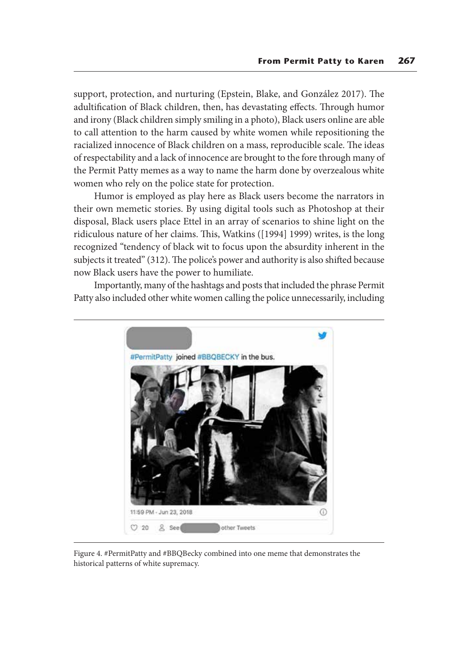support, protection, and nurturing (Epstein, Blake, and González 2017). The adultification of Black children, then, has devastating effects. Through humor and irony (Black children simply smiling in a photo), Black users online are able to call attention to the harm caused by white women while repositioning the racialized innocence of Black children on a mass, reproducible scale. The ideas of respectability and a lack of innocence are brought to the fore through many of the Permit Patty memes as a way to name the harm done by overzealous white women who rely on the police state for protection.

Humor is employed as play here as Black users become the narrators in their own memetic stories. By using digital tools such as Photoshop at their disposal, Black users place Ettel in an array of scenarios to shine light on the ridiculous nature of her claims. This, Watkins ([1994] 1999) writes, is the long recognized "tendency of black wit to focus upon the absurdity inherent in the subjects it treated" (312). The police's power and authority is also shifted because now Black users have the power to humiliate.

Importantly, many of the hashtags and posts that included the phrase Permit Patty also included other white women calling the police unnecessarily, including



Figure 4. #PermitPatty and #BBQBecky combined into one meme that demonstrates the historical patterns of white supremacy.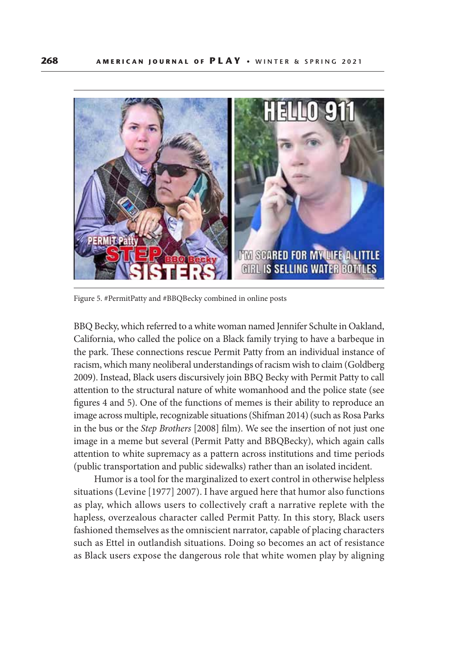

Figure 5. #PermitPatty and #BBQBecky combined in online posts

BBQ Becky, which referred to a white woman named Jennifer Schulte in Oakland, California, who called the police on a Black family trying to have a barbeque in the park. These connections rescue Permit Patty from an individual instance of racism, which many neoliberal understandings of racism wish to claim (Goldberg 2009). Instead, Black users discursively join BBQ Becky with Permit Patty to call attention to the structural nature of white womanhood and the police state (see figures 4 and 5). One of the functions of memes is their ability to reproduce an image across multiple, recognizable situations (Shifman 2014) (such as Rosa Parks in the bus or the *Step Brothers* [2008] film). We see the insertion of not just one image in a meme but several (Permit Patty and BBQBecky), which again calls attention to white supremacy as a pattern across institutions and time periods (public transportation and public sidewalks) rather than an isolated incident.

Humor is a tool for the marginalized to exert control in otherwise helpless situations (Levine [1977] 2007). I have argued here that humor also functions as play, which allows users to collectively craft a narrative replete with the hapless, overzealous character called Permit Patty. In this story, Black users fashioned themselves as the omniscient narrator, capable of placing characters such as Ettel in outlandish situations. Doing so becomes an act of resistance as Black users expose the dangerous role that white women play by aligning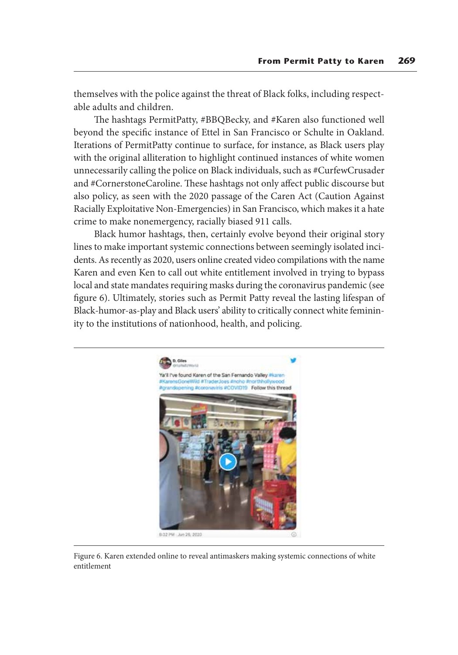themselves with the police against the threat of Black folks, including respectable adults and children.

The hashtags PermitPatty, #BBQBecky, and #Karen also functioned well beyond the specific instance of Ettel in San Francisco or Schulte in Oakland. Iterations of PermitPatty continue to surface, for instance, as Black users play with the original alliteration to highlight continued instances of white women unnecessarily calling the police on Black individuals, such as #CurfewCrusader and #CornerstoneCaroline. These hashtags not only affect public discourse but also policy, as seen with the 2020 passage of the Caren Act (Caution Against Racially Exploitative Non-Emergencies) in San Francisco, which makes it a hate crime to make nonemergency, racially biased 911 calls.

Black humor hashtags, then, certainly evolve beyond their original story lines to make important systemic connections between seemingly isolated incidents. As recently as 2020, users online created video compilations with the name Karen and even Ken to call out white entitlement involved in trying to bypass local and state mandates requiring masks during the coronavirus pandemic (see figure 6). Ultimately, stories such as Permit Patty reveal the lasting lifespan of Black-humor-as-play and Black users' ability to critically connect white femininity to the institutions of nationhood, health, and policing.



Figure 6. Karen extended online to reveal antimaskers making systemic connections of white entitlement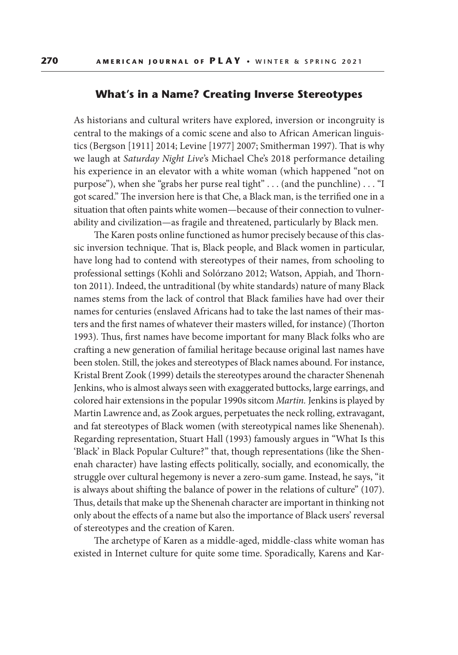#### **What's in a Name? Creating Inverse Stereotypes**

As historians and cultural writers have explored, inversion or incongruity is central to the makings of a comic scene and also to African American linguistics (Bergson [1911] 2014; Levine [1977] 2007; Smitherman 1997). That is why we laugh at *Saturday Night Live*'s Michael Che's 2018 performance detailing his experience in an elevator with a white woman (which happened "not on purpose"), when she "grabs her purse real tight" . . . (and the punchline) . . . "I got scared." The inversion here is that Che, a Black man, is the terrified one in a situation that often paints white women—because of their connection to vulnerability and civilization—as fragile and threatened, particularly by Black men.

The Karen posts online functioned as humor precisely because of this classic inversion technique. That is, Black people, and Black women in particular, have long had to contend with stereotypes of their names, from schooling to professional settings (Kohli and Solórzano 2012; Watson, Appiah, and Thornton 2011). Indeed, the untraditional (by white standards) nature of many Black names stems from the lack of control that Black families have had over their names for centuries (enslaved Africans had to take the last names of their masters and the first names of whatever their masters willed, for instance) (Thorton 1993). Thus, first names have become important for many Black folks who are crafting a new generation of familial heritage because original last names have been stolen. Still, the jokes and stereotypes of Black names abound. For instance, Kristal Brent Zook (1999) details the stereotypes around the character Shenenah Jenkins, who is almost always seen with exaggerated buttocks, large earrings, and colored hair extensions in the popular 1990s sitcom *Martin.* Jenkins is played by Martin Lawrence and, as Zook argues, perpetuates the neck rolling, extravagant, and fat stereotypes of Black women (with stereotypical names like Shenenah). Regarding representation, Stuart Hall (1993) famously argues in "What Is this 'Black' in Black Popular Culture?" that, though representations (like the Shenenah character) have lasting effects politically, socially, and economically, the struggle over cultural hegemony is never a zero-sum game. Instead, he says, "it is always about shifting the balance of power in the relations of culture" (107). Thus, details that make up the Shenenah character are important in thinking not only about the effects of a name but also the importance of Black users' reversal of stereotypes and the creation of Karen.

The archetype of Karen as a middle-aged, middle-class white woman has existed in Internet culture for quite some time. Sporadically, Karens and Kar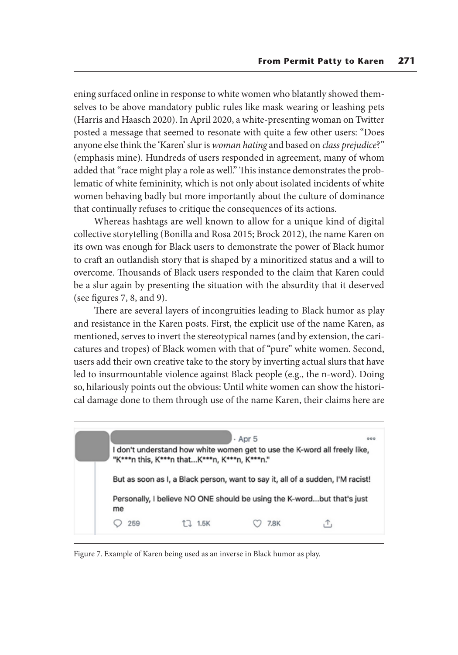ening surfaced online in response to white women who blatantly showed themselves to be above mandatory public rules like mask wearing or leashing pets (Harris and Haasch 2020). In April 2020, a white-presenting woman on Twitter posted a message that seemed to resonate with quite a few other users: "Does anyone else think the 'Karen' slur is *woman hating* and based on *class prejudice*?" (emphasis mine). Hundreds of users responded in agreement, many of whom added that "race might play a role as well." This instance demonstrates the problematic of white femininity, which is not only about isolated incidents of white women behaving badly but more importantly about the culture of dominance that continually refuses to critique the consequences of its actions.

Whereas hashtags are well known to allow for a unique kind of digital collective storytelling (Bonilla and Rosa 2015; Brock 2012), the name Karen on its own was enough for Black users to demonstrate the power of Black humor to craft an outlandish story that is shaped by a minoritized status and a will to overcome. Thousands of Black users responded to the claim that Karen could be a slur again by presenting the situation with the absurdity that it deserved (see figures 7, 8, and 9).

There are several layers of incongruities leading to Black humor as play and resistance in the Karen posts. First, the explicit use of the name Karen, as mentioned, serves to invert the stereotypical names (and by extension, the caricatures and tropes) of Black women with that of "pure" white women. Second, users add their own creative take to the story by inverting actual slurs that have led to insurmountable violence against Black people (e.g., the n-word). Doing so, hilariously points out the obvious: Until white women can show the historical damage done to them through use of the name Karen, their claims here are



Figure 7. Example of Karen being used as an inverse in Black humor as play.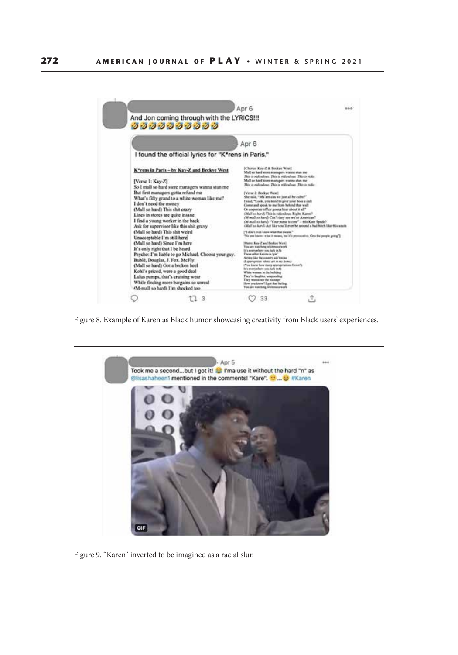

Figure 8. Example of Karen as Black humor showcasing creativity from Black users' experiences.



Figure 9. "Karen" inverted to be imagined as a racial slur.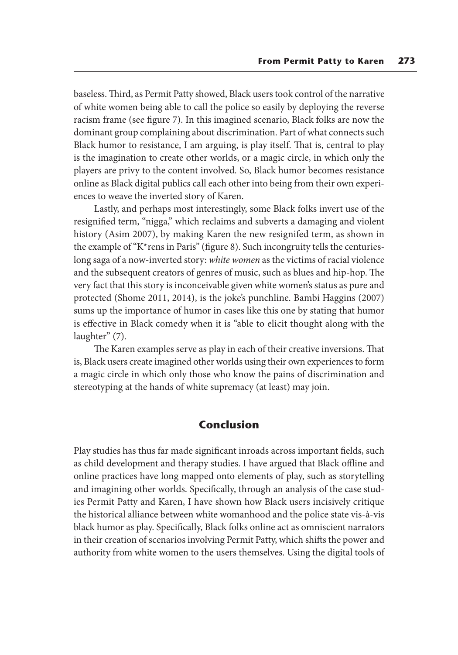baseless. Third, as Permit Patty showed, Black users took control of the narrative of white women being able to call the police so easily by deploying the reverse racism frame (see figure 7). In this imagined scenario, Black folks are now the dominant group complaining about discrimination. Part of what connects such Black humor to resistance, I am arguing, is play itself. That is, central to play is the imagination to create other worlds, or a magic circle, in which only the players are privy to the content involved. So, Black humor becomes resistance online as Black digital publics call each other into being from their own experiences to weave the inverted story of Karen.

Lastly, and perhaps most interestingly, some Black folks invert use of the resignified term, "nigga," which reclaims and subverts a damaging and violent history (Asim 2007), by making Karen the new resignifed term, as shown in the example of "K\*rens in Paris" (figure 8). Such incongruity tells the centurieslong saga of a now-inverted story: *white women* as the victims of racial violence and the subsequent creators of genres of music, such as blues and hip-hop. The very fact that this story is inconceivable given white women's status as pure and protected (Shome 2011, 2014), is the joke's punchline. Bambi Haggins (2007) sums up the importance of humor in cases like this one by stating that humor is effective in Black comedy when it is "able to elicit thought along with the laughter" (7).

The Karen examples serve as play in each of their creative inversions. That is, Black users create imagined other worlds using their own experiences to form a magic circle in which only those who know the pains of discrimination and stereotyping at the hands of white supremacy (at least) may join.

## **Conclusion**

Play studies has thus far made significant inroads across important fields, such as child development and therapy studies. I have argued that Black offline and online practices have long mapped onto elements of play, such as storytelling and imagining other worlds. Specifically, through an analysis of the case studies Permit Patty and Karen, I have shown how Black users incisively critique the historical alliance between white womanhood and the police state vis-à-vis black humor as play. Specifically, Black folks online act as omniscient narrators in their creation of scenarios involving Permit Patty, which shifts the power and authority from white women to the users themselves. Using the digital tools of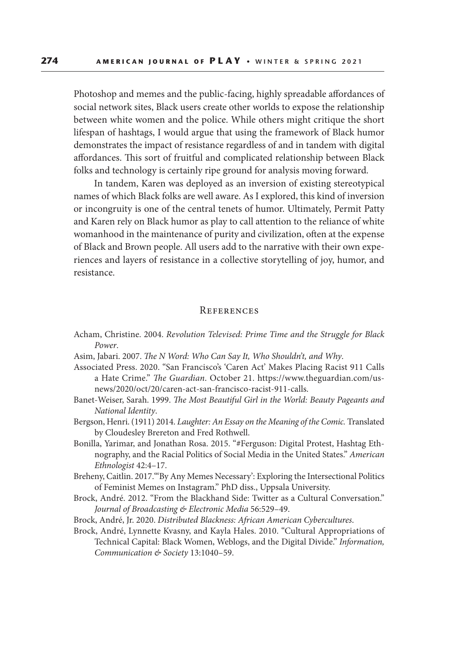Photoshop and memes and the public-facing, highly spreadable affordances of social network sites, Black users create other worlds to expose the relationship between white women and the police. While others might critique the short lifespan of hashtags, I would argue that using the framework of Black humor demonstrates the impact of resistance regardless of and in tandem with digital affordances. This sort of fruitful and complicated relationship between Black folks and technology is certainly ripe ground for analysis moving forward.

In tandem, Karen was deployed as an inversion of existing stereotypical names of which Black folks are well aware. As I explored, this kind of inversion or incongruity is one of the central tenets of humor. Ultimately, Permit Patty and Karen rely on Black humor as play to call attention to the reliance of white womanhood in the maintenance of purity and civilization, often at the expense of Black and Brown people. All users add to the narrative with their own experiences and layers of resistance in a collective storytelling of joy, humor, and resistance.

#### **REFERENCES**

- Acham, Christine. 2004. *Revolution Televised: Prime Time and the Struggle for Black Power*.
- Asim, Jabari. 2007. *The N Word: Who Can Say It, Who Shouldn't, and Why*.
- Associated Press. 2020. "San Francisco's 'Caren Act' Makes Placing Racist 911 Calls a Hate Crime." *The Guardian*. October 21. https://www.theguardian.com/usnews/2020/oct/20/caren-act-san-francisco-racist-911-calls.
- Banet-Weiser, Sarah. 1999. *The Most Beautiful Girl in the World: Beauty Pageants and National Identity*.
- Bergson, Henri. (1911) 2014. *Laughter: An Essay on the Meaning of the Comic.* Translated by Cloudesley Brereton and Fred Rothwell.
- Bonilla, Yarimar, and Jonathan Rosa. 2015. "#Ferguson: Digital Protest, Hashtag Ethnography, and the Racial Politics of Social Media in the United States." *American Ethnologist* 42:4–17.
- Breheny, Caitlin. 2017."'By Any Memes Necessary': Exploring the Intersectional Politics of Feminist Memes on Instagram." PhD diss., Uppsala University.
- Brock, André. 2012. "From the Blackhand Side: Twitter as a Cultural Conversation." *Journal of Broadcasting & Electronic Media* 56:529–49.
- Brock, André, Jr. 2020. *Distributed Blackness: African American Cybercultures*.
- Brock, André, Lynnette Kvasny, and Kayla Hales. 2010. "Cultural Appropriations of Technical Capital: Black Women, Weblogs, and the Digital Divide." *Information, Communication & Society* 13:1040–59.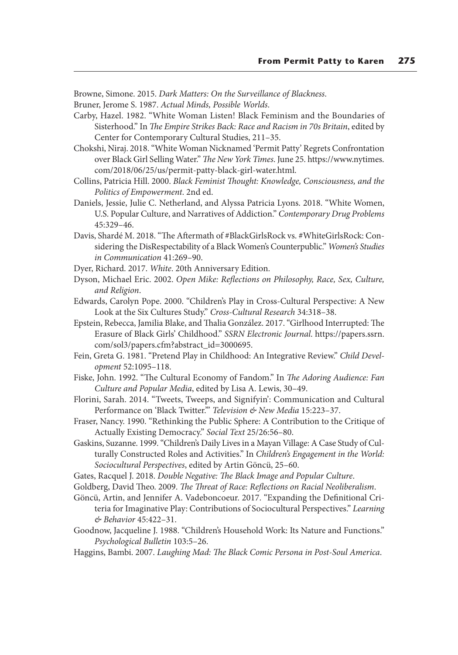Browne, Simone. 2015. *Dark Matters: On the Surveillance of Blackness*.

Bruner, Jerome S. 1987. *Actual Minds, Possible Worlds*.

Carby, Hazel. 1982. "White Woman Listen! Black Feminism and the Boundaries of Sisterhood." In *The Empire Strikes Back: Race and Racism in 70s Britain*, edited by Center for Contemporary Cultural Studies, 211–35.

Chokshi, Niraj. 2018. "White Woman Nicknamed 'Permit Patty' Regrets Confrontation over Black Girl Selling Water." *The New York Times*. June 25. https://www.nytimes. com/2018/06/25/us/permit-patty-black-girl-water.html.

Collins, Patricia Hill. 2000. *Black Feminist Thought: Knowledge, Consciousness, and the Politics of Empowerment*. 2nd ed.

Daniels, Jessie, Julie C. Netherland, and Alyssa Patricia Lyons. 2018. "White Women, U.S. Popular Culture, and Narratives of Addiction." *Contemporary Drug Problems*  45:329–46.

Davis, Shardé M. 2018. "The Aftermath of #BlackGirlsRock vs. #WhiteGirlsRock: Considering the DisRespectability of a Black Women's Counterpublic." *Women's Studies in Communication* 41:269–90.

Dyer, Richard. 2017. *White*. 20th Anniversary Edition.

Dyson, Michael Eric. 2002. *Open Mike: Reflections on Philosophy, Race, Sex, Culture, and Religion*.

Edwards, Carolyn Pope. 2000. "Children's Play in Cross-Cultural Perspective: A New Look at the Six Cultures Study." *Cross-Cultural Research* 34:318–38.

Epstein, Rebecca, Jamilia Blake, and Thalia González. 2017. "Girlhood Interrupted: The Erasure of Black Girls' Childhood." *SSRN Electronic Journal*. https://papers.ssrn. com/sol3/papers.cfm?abstract\_id=3000695.

Fein, Greta G. 1981. "Pretend Play in Childhood: An Integrative Review." *Child Development* 52:1095–118.

Fiske, John. 1992. "The Cultural Economy of Fandom." In *The Adoring Audience: Fan Culture and Popular Media*, edited by Lisa A. Lewis, 30–49.

Florini, Sarah. 2014. "Tweets, Tweeps, and Signifyin': Communication and Cultural Performance on 'Black Twitter.'" *Television & New Media* 15:223–37.

Fraser, Nancy. 1990. "Rethinking the Public Sphere: A Contribution to the Critique of Actually Existing Democracy." *Social Text* 25/26:56–80.

Gaskins, Suzanne. 1999. "Children's Daily Lives in a Mayan Village: A Case Study of Culturally Constructed Roles and Activities." In *Children's Engagement in the World: Sociocultural Perspectives*, edited by Artin Göncü, 25–60.

Gates, Racquel J. 2018. *Double Negative: The Black Image and Popular Culture*.

Goldberg, David Theo. 2009. *The Threat of Race: Reflections on Racial Neoliberalism*.

Göncü, Artin, and Jennifer A. Vadeboncoeur. 2017. "Expanding the Definitional Criteria for Imaginative Play: Contributions of Sociocultural Perspectives." *Learning & Behavior* 45:422–31.

Goodnow, Jacqueline J. 1988. "Children's Household Work: Its Nature and Functions." *Psychological Bulletin* 103:5–26.

Haggins, Bambi. 2007. *Laughing Mad: The Black Comic Persona in Post-Soul America*.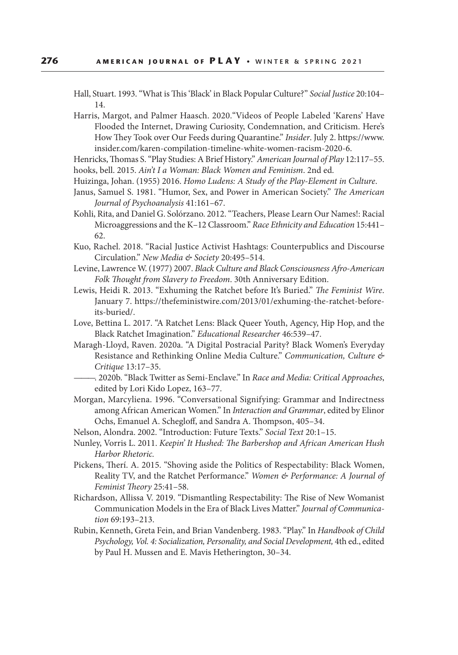Hall, Stuart. 1993. "What is This 'Black' in Black Popular Culture?" *Social Justice* 20:104– 14.

- Harris, Margot, and Palmer Haasch. 2020."Videos of People Labeled 'Karens' Have Flooded the Internet, Drawing Curiosity, Condemnation, and Criticism. Here's How They Took over Our Feeds during Quarantine." *Insider*. July 2. https://www. insider.com/karen-compilation-timeline-white-women-racism-2020-6.
- Henricks, Thomas S. "Play Studies: A Brief History." *American Journal of Play* 12:117–55. hooks, bell. 2015. *Ain't I a Woman: Black Women and Feminism*. 2nd ed.
- Huizinga, Johan. (1955) 2016. *Homo Ludens: A Study of the Play-Element in Culture*.
- Janus, Samuel S. 1981. "Humor, Sex, and Power in American Society." *The American Journal of Psychoanalysis* 41:161–67.
- Kohli, Rita, and Daniel G. Solórzano. 2012. "Teachers, Please Learn Our Names!: Racial Microaggressions and the K–12 Classroom." *Race Ethnicity and Education* 15:441– 62.
- Kuo, Rachel. 2018. "Racial Justice Activist Hashtags: Counterpublics and Discourse Circulation." *New Media & Society* 20:495–514.
- Levine, Lawrence W. (1977) 2007. *Black Culture and Black Consciousness Afro-American Folk Thought from Slavery to Freedom*. 30th Anniversary Edition.
- Lewis, Heidi R. 2013. "Exhuming the Ratchet before It's Buried." *The Feminist Wire*. January 7. https://thefeministwire.com/2013/01/exhuming-the-ratchet-beforeits-buried/.
- Love, Bettina L. 2017. "A Ratchet Lens: Black Queer Youth, Agency, Hip Hop, and the Black Ratchet Imagination." *Educational Researcher* 46:539–47.
- Maragh-Lloyd, Raven. 2020a. "A Digital Postracial Parity? Black Women's Everyday Resistance and Rethinking Online Media Culture." *Communication, Culture & Critique* 13:17–35.
- ———. 2020b. "Black Twitter as Semi-Enclave." In *Race and Media: Critical Approaches*, edited by Lori Kido Lopez, 163–77.
- Morgan, Marcyliena. 1996. "Conversational Signifying: Grammar and Indirectness among African American Women." In *Interaction and Grammar*, edited by Elinor Ochs, Emanuel A. Schegloff, and Sandra A. Thompson, 405–34.
- Nelson, Alondra. 2002. "Introduction: Future Texts." *Social Text* 20:1–15.
- Nunley, Vorris L. 2011. *Keepin' It Hushed: The Barbershop and African American Hush Harbor Rhetoric.*
- Pickens, Therí. A. 2015. "Shoving aside the Politics of Respectability: Black Women, Reality TV, and the Ratchet Performance." *Women & Performance: A Journal of Feminist Theory* 25:41–58.
- Richardson, Allissa V. 2019. "Dismantling Respectability: The Rise of New Womanist Communication Models in the Era of Black Lives Matter." *Journal of Communication* 69:193–213.
- Rubin, Kenneth, Greta Fein, and Brian Vandenberg. 1983. "Play." In *Handbook of Child Psychology, Vol. 4: Socialization, Personality, and Social Development,* 4th ed., edited by Paul H. Mussen and E. Mavis Hetherington, 30–34.